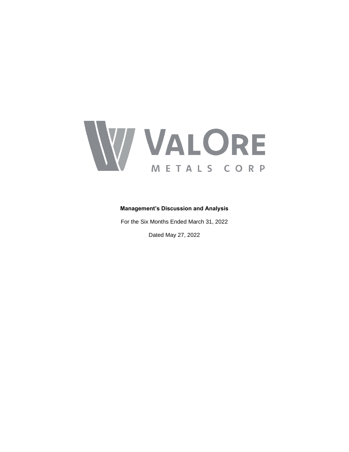

# **Management's Discussion and Analysis**

For the Six Months Ended March 31, 2022

Dated May 27, 2022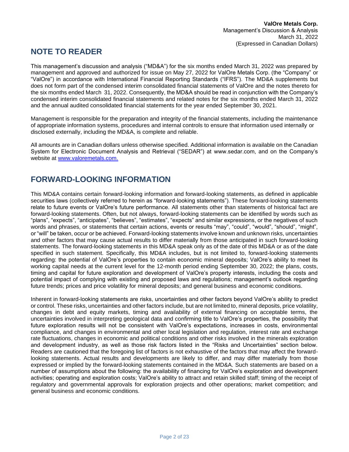# **NOTE TO READER**

This management's discussion and analysis ("MD&A") for the six months ended March 31, 2022 was prepared by management and approved and authorized for issue on May 27, 2022 for ValOre Metals Corp. (the "Company" or "ValOre") in accordance with International Financial Reporting Standards ("IFRS"). The MD&A supplements but does not form part of the condensed interim consolidated financial statements of ValOre and the notes thereto for the six months ended March 31, 2022. Consequently, the MD&A should be read in conjunction with the Company's condensed interim consolidated financial statements and related notes for the six months ended March 31, 2022 and the annual audited consolidated financial statements for the year ended September 30, 2021.

Management is responsible for the preparation and integrity of the financial statements, including the maintenance of appropriate information systems, procedures and internal controls to ensure that information used internally or disclosed externally, including the MD&A, is complete and reliable.

All amounts are in Canadian dollars unless otherwise specified. Additional information is available on the Canadian System for Electronic Document Analysis and Retrieval ("SEDAR") at www.sedar.com, and on the Company's website at [www.valoremetals.com.](http://www.valoremetals.com/)

# **FORWARD-LOOKING INFORMATION**

This MD&A contains certain forward-looking information and forward-looking statements, as defined in applicable securities laws (collectively referred to herein as "forward-looking statements"). These forward-looking statements relate to future events or ValOre's future performance. All statements other than statements of historical fact are forward-looking statements. Often, but not always, forward-looking statements can be identified by words such as "plans", "expects", "anticipates", "believes", "estimates", "expects" and similar expressions, or the negatives of such words and phrases, or statements that certain actions, events or results "may", "could", "would", "should", "might", or "will" be taken, occur or be achieved. Forward-looking statements involve known and unknown risks, uncertainties and other factors that may cause actual results to differ materially from those anticipated in such forward-looking statements. The forward-looking statements in this MD&A speak only as of the date of this MD&A or as of the date specified in such statement. Specifically, this MD&A includes, but is not limited to, forward-looking statements regarding: the potential of ValOre's properties to contain economic mineral deposits; ValOre's ability to meet its working capital needs at the current level for the 12-month period ending September 30, 2022; the plans, costs, timing and capital for future exploration and development of ValOre's property interests, including the costs and potential impact of complying with existing and proposed laws and regulations; management's outlook regarding future trends; prices and price volatility for mineral deposits; and general business and economic conditions.

Inherent in forward-looking statements are risks, uncertainties and other factors beyond ValOre's ability to predict or control. These risks, uncertainties and other factors include, but are not limited to, mineral deposits, price volatility, changes in debt and equity markets, timing and availability of external financing on acceptable terms, the uncertainties involved in interpreting geological data and confirming title to ValOre's properties, the possibility that future exploration results will not be consistent with ValOre's expectations, increases in costs, environmental compliance, and changes in environmental and other local legislation and regulation, interest rate and exchange rate fluctuations, changes in economic and political conditions and other risks involved in the minerals exploration and development industry, as well as those risk factors listed in the "Risks and Uncertainties" section below. Readers are cautioned that the foregoing list of factors is not exhaustive of the factors that may affect the forwardlooking statements. Actual results and developments are likely to differ, and may differ materially from those expressed or implied by the forward-looking statements contained in the MD&A. Such statements are based on a number of assumptions about the following: the availability of financing for ValOre's exploration and development activities; operating and exploration costs; ValOre's ability to attract and retain skilled staff; timing of the receipt of regulatory and governmental approvals for exploration projects and other operations; market competition; and general business and economic conditions.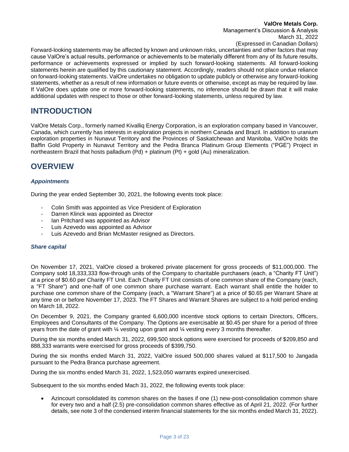# **ValOre Metals Corp.**

Management's Discussion & Analysis March 31, 2022

(Expressed in Canadian Dollars)

Forward-looking statements may be affected by known and unknown risks, uncertainties and other factors that may cause ValOre's actual results, performance or achievements to be materially different from any of its future results, performance or achievements expressed or implied by such forward-looking statements. All forward-looking statements herein are qualified by this cautionary statement. Accordingly, readers should not place undue reliance on forward-looking statements. ValOre undertakes no obligation to update publicly or otherwise any forward-looking statements, whether as a result of new information or future events or otherwise, except as may be required by law. If ValOre does update one or more forward-looking statements, no inference should be drawn that it will make additional updates with respect to those or other forward-looking statements, unless required by law.

# **INTRODUCTION**

ValOre Metals Corp., formerly named Kivalliq Energy Corporation, is an exploration company based in Vancouver, Canada, which currently has interests in exploration projects in northern Canada and Brazil. In addition to uranium exploration properties in Nunavut Territory and the Provinces of Saskatchewan and Manitoba, ValOre holds the Baffin Gold Property in Nunavut Territory and the Pedra Branca Platinum Group Elements ("PGE") Project in northeastern Brazil that hosts palladium (Pd) + platinum (Pt) + gold (Au) mineralization.

# **OVERVIEW**

# *Appointments*

During the year ended September 30, 2021, the following events took place:

- Colin Smith was appointed as Vice President of Exploration
- Darren Klinck was appointed as Director
- Ian Pritchard was appointed as Advisor
- Luis Azevedo was appointed as Advisor
- Luis Azevedo and Brian McMaster resigned as Directors.

# *Share capital*

On November 17, 2021, ValOre closed a brokered private placement for gross proceeds of \$11,000,000. The Company sold 18,333,333 flow-through units of the Company to charitable purchasers (each, a "Charity FT Unit") at a price of \$0.60 per Charity FT Unit. Each Charity FT Unit consists of one common share of the Company (each, a "FT Share") and one-half of one common share purchase warrant. Each warrant shall entitle the holder to purchase one common share of the Company (each, a "Warrant Share") at a price of \$0.65 per Warrant Share at any time on or before November 17, 2023. The FT Shares and Warrant Shares are subject to a hold period ending on March 18, 2022.

On December 9, 2021, the Company granted 6,600,000 incentive stock options to certain Directors, Officers, Employees and Consultants of the Company. The Options are exercisable at \$0.45 per share for a period of three years from the date of grant with ¼ vesting upon grant and ¼ vesting every 3 months thereafter.

During the six months ended March 31, 2022, 699,500 stock options were exercised for proceeds of \$209,850 and 888,333 warrants were exercised for gross proceeds of \$399,750.

During the six months ended March 31, 2022, ValOre issued 500,000 shares valued at \$117,500 to Jangada pursuant to the Pedra Branca purchase agreement.

During the six months ended March 31, 2022, 1,523,050 warrants expired unexercised.

Subsequent to the six months ended Mach 31, 2022, the following events took place:

• Azincourt consolidated its common shares on the bases if one (1) new-post-consolidation common share for every two and a half (2.5) pre-consolidation common shares effective as of April 21, 2022. (For further details, see note 3 of the condensed interim financial statements for the six months ended March 31, 2022).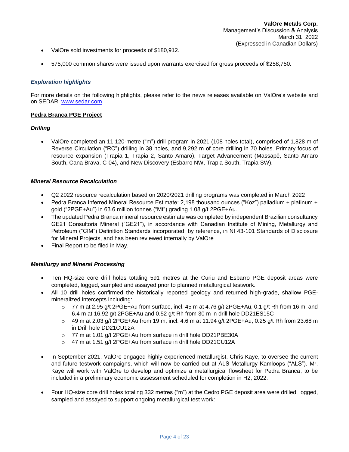- ValOre sold investments for proceeds of \$180,912.
- 575,000 common shares were issued upon warrants exercised for gross proceeds of \$258,750.

### *Exploration highlights*

For more details on the following highlights, please refer to the news releases available on ValOre's website and on SEDAR: [www.sedar.com.](http://www.sedar.com/)

### **Pedra Branca PGE Project**

#### *Drilling*

• ValOre completed an 11,120-metre ("m") drill program in 2021 (108 holes total), comprised of 1,828 m of Reverse Circulation ("RC") drilling in 38 holes, and 9,292 m of core drilling in 70 holes. Primary focus of resource expansion (Trapia 1, Trapia 2, Santo Amaro), Target Advancement (Massapê, Santo Amaro South, Cana Brava, C-04), and New Discovery (Esbarro NW, Trapia South, Trapia SW).

#### *Mineral Resource Recalculation*

- Q2 2022 resource recalculation based on 2020/2021 drilling programs was completed in March 2022
- Pedra Branca Inferred Mineral Resource Estimate: 2,198 thousand ounces ("Koz") palladium + platinum + gold ("2PGE+Au") in 63.6 million tonnes ("Mt") grading 1.08 g/t 2PGE+Au.
- The updated Pedra Branca mineral resource estimate was completed by independent Brazilian consultancy GE21 Consultoria Mineral ("GE21"), in accordance with Canadian Institute of Mining, Metallurgy and Petroleum ("CIM") Definition Standards incorporated, by reference, in NI 43-101 Standards of Disclosure for Mineral Projects, and has been reviewed internally by ValOre
- Final Report to be filed in May.

#### *Metallurgy and Mineral Processing*

- Ten HQ-size core drill holes totaling 591 metres at the Curiu and Esbarro PGE deposit areas were completed, logged, sampled and assayed prior to planned metallurgical testwork.
- All 10 drill holes confirmed the historically reported geology and returned high-grade, shallow PGEmineralized intercepts including:
	- o 77 m at 2.95 g/t 2PGE+Au from surface, incl. 45 m at 4.76 g/t 2PGE+Au, 0.1 g/t Rh from 16 m, and 6.4 m at 16.92 g/t 2PGE+Au and 0.52 g/t Rh from 30 m in drill hole DD21ES15C
	- $\circ$  49 m at 2.03 g/t 2PGE+Au from 19 m, incl. 4.6 m at 11.94 g/t 2PGE+Au, 0.25 g/t Rh from 23.68 m in Drill hole DD21CU12A
	- o 77 m at 1.01 g/t 2PGE+Au from surface in drill hole DD21PBE30A
	- o 47 m at 1.51 g/t 2PGE+Au from surface in drill hole DD21CU12A
- In September 2021, ValOre engaged highly experienced metallurgist, Chris Kaye, to oversee the current and future testwork campaigns, which will now be carried out at ALS Metallurgy Kamloops ("ALS"). Mr. Kaye will work with ValOre to develop and optimize a metallurgical flowsheet for Pedra Branca, to be included in a preliminary economic assessment scheduled for completion in H2, 2022.
- Four HQ-size core drill holes totaling 332 metres ("m") at the Cedro PGE deposit area were drilled, logged, sampled and assayed to support ongoing metallurgical test work: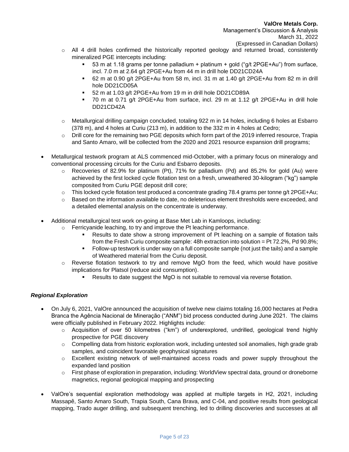- o All 4 drill holes confirmed the historically reported geology and returned broad, consistently mineralized PGE intercepts including:
	- 53 m at 1.18 grams per tonne palladium + platinum + gold (" $q/t$  2PGE+Au") from surface, incl. 7.0 m at 2.64 g/t 2PGE+Au from 44 m in drill hole DD21CD24A
	- 62 m at 0.90 g/t 2PGE+Au from 58 m, incl. 31 m at 1.40 g/t 2PGE+Au from 82 m in drill hole DD21CD05A
	- 52 m at 1.03 g/t 2PGE+Au from 19 m in drill hole DD21CD89A
	- 70 m at 0.71 g/t 2PGE+Au from surface, incl. 29 m at 1.12 g/t 2PGE+Au in drill hole DD21CD42A
- o Metallurgical drilling campaign concluded, totaling 922 m in 14 holes, including 6 holes at Esbarro (378 m), and 4 holes at Curiu (213 m), in addition to the 332 m in 4 holes at Cedro;
- o Drill core for the remaining two PGE deposits which form part of the 2019 inferred resource, Trapia and Santo Amaro, will be collected from the 2020 and 2021 resource expansion drill programs;
- Metallurgical testwork program at ALS commenced mid-October, with a primary focus on mineralogy and conventional processing circuits for the Curiu and Esbarro deposits.
	- $\circ$  Recoveries of 82.9% for platinum (Pt), 71% for palladium (Pd) and 85.2% for gold (Au) were achieved by the first locked cycle flotation test on a fresh, unweathered 30-kilogram ("kg") sample composited from Curiu PGE deposit drill core;
	- $\circ$  This locked cycle flotation test produced a concentrate grading 78.4 grams per tonne g/t 2PGE+Au;
	- $\circ$  Based on the information available to date, no deleterious element thresholds were exceeded, and a detailed elemental analysis on the concentrate is underway.
- Additional metallurgical test work on-going at Base Met Lab in Kamloops, including:
	- $\circ$  Ferricyanide leaching, to try and improve the Pt leaching performance.
		- Results to date show a strong improvement of Pt leaching on a sample of flotation tails from the Fresh Curiu composite sample: 48h extraction into solution = Pt 72.2%, Pd 90.8%;
		- Follow-up testwork is under way on a full composite sample (not just the tails) and a sample of Weathered material from the Curiu deposit.
	- o Reverse flotation testwork to try and remove MgO from the feed, which would have positive implications for Platsol (reduce acid consumption).
		- Results to date suggest the MgO is not suitable to removal via reverse flotation.

# *Regional Exploration*

- On July 6, 2021, ValOre announced the acquisition of twelve new claims totaling 16,000 hectares at Pedra Branca the Agência Nacional de Mineração ("ANM") bid process conducted during June 2021. The claims were officially published in February 2022. Highlights include:
	- $\circ$  Acquisition of over 50 kilometres ("km") of underexplored, undrilled, geological trend highly prospective for PGE discovery
	- $\circ$  Compelling data from historic exploration work, including untested soil anomalies, high grade grab samples, and coincident favorable geophysical signatures
	- $\circ$  Excellent existing network of well-maintained access roads and power supply throughout the expanded land position
	- o First phase of exploration in preparation, including: WorldView spectral data, ground or droneborne magnetics, regional geological mapping and prospecting
- ValOre's sequential exploration methodology was applied at multiple targets in H2, 2021, including Massapê, Santo Amaro South, Trapia South, Cana Brava, and C-04, and positive results from geological mapping, Trado auger drilling, and subsequent trenching, led to drilling discoveries and successes at all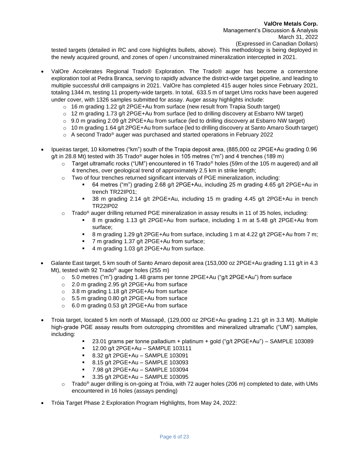tested targets (detailed in RC and core highlights bullets, above). This methodology is being deployed in the newly acquired ground, and zones of open / unconstrained mineralization intercepted in 2021.

- ValOre Accelerates Regional Trado® Exploration. The Trado® auger has become a cornerstone exploration tool at Pedra Branca, serving to rapidly advance the district-wide target pipeline, and leading to multiple successful drill campaigns in 2021. ValOre has completed 415 auger holes since February 2021, totaling 1344 m, testing 11 property-wide targets. In total, 633.5 m of target Ums rocks have been augered under cover, with 1326 samples submitted for assay. Auger assay highlights include:
	- $\circ$  16 m grading 1.22 g/t 2PGE+Au from surface (new result from Trapia South target)
	- $\circ$  12 m grading 1.73 g/t 2PGE+Au from surface (led to drilling discovery at Esbarro NW target)
	- $\circ$  9.0 m grading 2.09 g/t 2PGE+Au from surface (led to drilling discovery at Esbarro NW target)
	- $\circ$  10 m grading 1.64 g/t 2PGE+Au from surface (led to drilling discovery at Santo Amaro South target)
	- o A second Trado<sup>®</sup> auger was purchased and started operations in February 2022
- Ipueiras target, 10 kilometres ("km") south of the Trapia deposit area, (885,000 oz 2PGE+Au grading 0.96 g/t in 28.8 Mt) tested with 35 Trado<sup>®</sup> auger holes in 105 metres ("m") and 4 trenches (189 m)
	- $\circ$  Target ultramafic rocks ("UM") encountered in 16 Trado® holes (59m of the 105 m augered) and all 4 trenches, over geological trend of approximately 2.5 km in strike length;
	- $\circ$  Two of four trenches returned significant intervals of PGE mineralization, including:
		- 64 metres ("m") grading 2.68 g/t 2PGE+Au, including 25 m grading 4.65 g/t 2PGE+Au in trench TR22IP01;
		- 38 m grading 2.14 g/t 2PGE+Au, including 15 m grading 4.45 g/t 2PGE+Au in trench TR22IP02
	- $\circ$  Trado<sup>®</sup> auger drilling returned PGE mineralization in assay results in 11 of 35 holes, including:
		- 8 m grading 1.13 g/t 2PGE+Au from surface, including 1 m at 5.48 g/t 2PGE+Au from surface;
		- 8 m grading 1.29 g/t 2PGE+Au from surface, including 1 m at 4.22 g/t 2PGE+Au from 7 m;
		- 7 m grading 1.37 g/t 2PGE+Au from surface;
		- 4 m grading 1.03 g/t 2PGE+Au from surface.
- Galante East target, 5 km south of Santo Amaro deposit area (153,000 oz 2PGE+Au grading 1.11 g/t in 4.3 Mt), tested with 92 Trado® auger holes (255 m)
	- $\circ$  5.0 metres ("m") grading 1.48 grams per tonne 2PGE+Au ("g/t 2PGE+Au") from surface
	- o 2.0 m grading 2.95 g/t 2PGE+Au from surface
	- o 3.8 m grading 1.18 g/t 2PGE+Au from surface
	- o 5.5 m grading 0.80 g/t 2PGE+Au from surface
	- o 6.0 m grading 0.53 g/t 2PGE+Au from surface
- Troia target, located 5 km north of Massapê, (129,000 oz 2PGE+Au grading 1.21 g/t in 3.3 Mt). Multiple high-grade PGE assay results from outcropping chromitites and mineralized ultramafic ("UM") samples, including:
	- 23.01 grams per tonne palladium + platinum + gold ("g/t  $2PGE+Au$ ") SAMPLE 103089
	- 12.00 g/t 2PGE+Au SAMPLE 103111
	- 8.32 g/t 2PGE+Au SAMPLE 103091
	- 8.15 g/t 2PGE+Au SAMPLE 103093
	- 7.98 g/t 2PGE+Au SAMPLE 103094
	- 3.35 g/t 2PGE+Au SAMPLE 103095
	- $\circ$  Trado® auger drilling is on-going at Tróia, with 72 auger holes (206 m) completed to date, with UMs encountered in 16 holes (assays pending)
- Tróia Target Phase 2 Exploration Program Highlights, from May 24, 2022: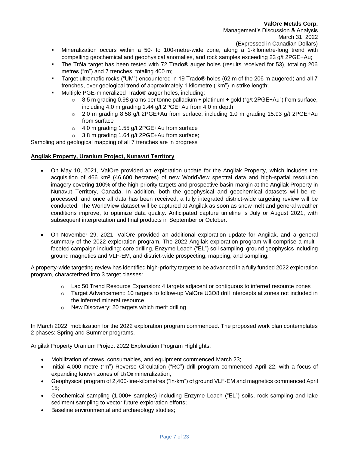- Mineralization occurs within a 50- to 100-metre-wide zone, along a 1-kilometre-long trend with compelling geochemical and geophysical anomalies, and rock samples exceeding 23 g/t 2PGE+Au;
- The Tróia target has been tested with 72 Trado® auger holes (results received for 53), totaling 206 metres ("m") and 7 trenches, totaling 400 m;
- Target ultramafic rocks ("UM") encountered in 19 Trado® holes (62 m of the 206 m augered) and all 7 trenches, over geological trend of approximately 1 kilometre ("km") in strike length;
- Multiple PGE-mineralized Trado<sup>®</sup> auger holes, including:
	- o 8.5 m grading 0.98 grams per tonne palladium + platinum + gold ("g/t 2PGE+Au") from surface, including 4.0 m grading 1.44 g/t 2PGE+Au from 4.0 m depth
	- $\circ$  2.0 m grading 8.58 g/t 2PGE+Au from surface, including 1.0 m grading 15.93 g/t 2PGE+Au from surface
	- o 4.0 m grading 1.55 g/t 2PGE+Au from surface
	- o 3.8 m grading 1.64 g/t 2PGE+Au from surface;

Sampling and geological mapping of all 7 trenches are in progress

### **Angilak Property, Uranium Project, Nunavut Territory**

- On May 10, 2021, ValOre provided an exploration update for the Angilak Property, which includes the acquisition of 466 km<sup>2</sup> (46,600 hectares) of new WorldView spectral data and high-spatial resolution imagery covering 100% of the high-priority targets and prospective basin-margin at the Angilak Property in Nunavut Territory, Canada. In addition, both the geophysical and geochemical datasets will be reprocessed, and once all data has been received, a fully integrated district-wide targeting review will be conducted. The WorldView dataset will be captured at Angilak as soon as snow melt and general weather conditions improve, to optimize data quality. Anticipated capture timeline is July or August 2021, with subsequent interpretation and final products in September or October.
- On November 29, 2021, ValOre provided an additional exploration update for Angilak, and a general summary of the 2022 exploration program. The 2022 Angilak exploration program will comprise a multifaceted campaign including: core drilling, Enzyme Leach ("EL") soil sampling, ground geophysics including ground magnetics and VLF-EM, and district-wide prospecting, mapping, and sampling.

A property-wide targeting review has identified high-priority targets to be advanced in a fully funded 2022 exploration program, characterized into 3 target classes:

- $\circ$  Lac 50 Trend Resource Expansion: 4 targets adjacent or contiguous to inferred resource zones
- o Target Advancement: 10 targets to follow-up ValOre U3O8 drill intercepts at zones not included in the inferred mineral resource
- o New Discovery: 20 targets which merit drilling

In March 2022, mobilization for the 2022 exploration program commenced. The proposed work plan contemplates 2 phases: Spring and Summer programs.

Angilak Property Uranium Project 2022 Exploration Program Highlights:

- Mobilization of crews, consumables, and equipment commenced March 23;
- Initial 4,000 metre ("m") Reverse Circulation ("RC") drill program commenced April 22, with a focus of expanding known zones of U<sub>3</sub>O<sub>8</sub> mineralization;
- Geophysical program of 2,400-line-kilometres ("ln-km") of ground VLF-EM and magnetics commenced April 15;
- Geochemical sampling (1,000+ samples) including Enzyme Leach ("EL") soils, rock sampling and lake sediment sampling to vector future exploration efforts;
- Baseline environmental and archaeology studies;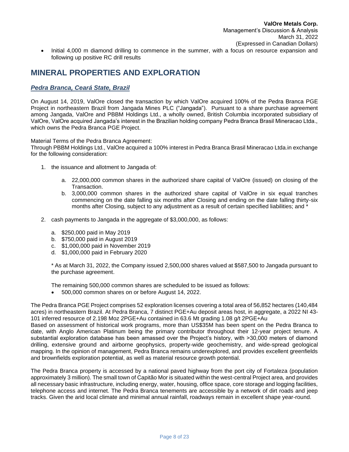• Initial 4,000 m diamond drilling to commence in the summer, with a focus on resource expansion and following up positive RC drill results

# **MINERAL PROPERTIES AND EXPLORATION**

# *Pedra Branca, Ceará State, Brazil*

On August 14, 2019, ValOre closed the transaction by which ValOre acquired 100% of the Pedra Branca PGE Project in northeastern Brazil from Jangada Mines PLC ("Jangada"). Pursuant to a share purchase agreement among Jangada, ValOre and PBBM Holdings Ltd., a wholly owned, British Columbia incorporated subsidiary of ValOre, ValOre acquired Jangada's interest in the Brazilian holding company Pedra Branca Brasil Mineracao Ltda., which owns the Pedra Branca PGE Project.

Material Terms of the Pedra Branca Agreement:

Through PBBM Holdings Ltd., ValOre acquired a 100% interest in Pedra Branca Brasil Mineracao Ltda.in exchange for the following consideration:

- 1. the issuance and allotment to Jangada of:
	- a. 22,000,000 common shares in the authorized share capital of ValOre (issued) on closing of the Transaction.
	- b. 3,000,000 common shares in the authorized share capital of ValOre in six equal tranches commencing on the date falling six months after Closing and ending on the date falling thirty-six months after Closing, subject to any adjustment as a result of certain specified liabilities; and \*
- 2. cash payments to Jangada in the aggregate of \$3,000,000, as follows:
	- a. \$250,000 paid in May 2019
	- b. \$750,000 paid in August 2019
	- c. \$1,000,000 paid in November 2019
	- d. \$1,000,000 paid in February 2020

\* As at March 31, 2022, the Company issued 2,500,000 shares valued at \$587,500 to Jangada pursuant to the purchase agreement.

The remaining 500,000 common shares are scheduled to be issued as follows:

• 500,000 common shares on or before August 14, 2022.

The Pedra Branca PGE Project comprises 52 exploration licenses covering a total area of 56,852 hectares (140,484 acres) in northeastern Brazil. At Pedra Branca, 7 distinct PGE+Au deposit areas host, in aggregate, a 2022 NI 43- 101 inferred resource of 2.198 Moz 2PGE+Au contained in 63.6 Mt grading 1.08 g/t 2PGE+Au

Based on assessment of historical work programs, more than US\$35M has been spent on the Pedra Branca to date, with Anglo American Platinum being the primary contributor throughout their 12-year project tenure. A substantial exploration database has been amassed over the Project's history, with >30,000 meters of diamond drilling, extensive ground and airborne geophysics, property-wide geochemistry, and wide-spread geological mapping. In the opinion of management, Pedra Branca remains underexplored, and provides excellent greenfields and brownfields exploration potential, as well as material resource growth potential.

The Pedra Branca property is accessed by a national paved highway from the port city of Fortaleza (population approximately 3 million). The small town of Capitão Mor is situated within the west-central Project area, and provides all necessary basic infrastructure, including energy, water, housing, office space, core storage and logging facilities, telephone access and internet. The Pedra Branca tenements are accessible by a network of dirt roads and jeep tracks. Given the arid local climate and minimal annual rainfall, roadways remain in excellent shape year-round.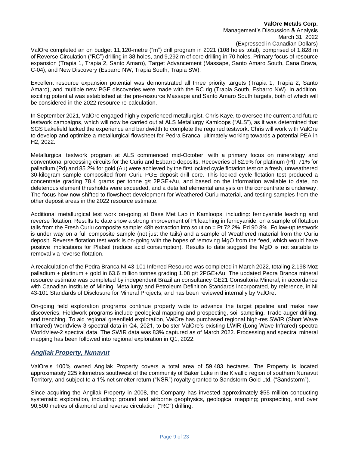ValOre completed an on budget 11,120-metre ("m") drill program in 2021 (108 holes total), comprised of 1,828 m of Reverse Circulation ("RC") drilling in 38 holes, and 9,292 m of core drilling in 70 holes. Primary focus of resource expansion (Trapia 1, Trapia 2, Santo Amaro), Target Advancement (Massape, Santo Amaro South, Cana Brava, C-04), and New Discovery (Esbarro NW, Trapia South, Trapia SW).

Excellent resource expansion potential was demonstrated all three priority targets (Trapia 1, Trapia 2, Santo Amaro), and multiple new PGE discoveries were made with the RC rig (Trapia South, Esbarro NW). In addition, exciting potential was established at the pre-resource Massape and Santo Amaro South targets, both of which will be considered in the 2022 resource re-calculation.

In September 2021, ValOre engaged highly experienced metallurgist, Chris Kaye, to oversee the current and future testwork campaigns, which will now be carried out at ALS Metallurgy Kamloops ("ALS"), as it was determined that SGS Lakefield lacked the experience and bandwidth to complete the required testwork. Chris will work with ValOre to develop and optimize a metallurgical flowsheet for Pedra Branca, ultimately working towards a potential PEA in H2, 2022.

Metallurgical testwork program at ALS commenced mid-October, with a primary focus on mineralogy and conventional processing circuits for the Curiu and Esbarro deposits. Recoveries of 82.9% for platinum (Pt), 71% for palladium (Pd) and 85.2% for gold (Au) were achieved by the first locked cycle flotation test on a fresh, unweathered 30-kilogram sample composited from Curiu PGE deposit drill core. This locked cycle flotation test produced a concentrate grading 78.4 grams per tonne g/t 2PGE+Au, and based on the information available to date, no deleterious element thresholds were exceeded, and a detailed elemental analysis on the concentrate is underway. The focus how now shifted to flowsheet development for Weathered Curiu material, and testing samples from the other deposit areas in the 2022 resource estimate.

Additional metallurgical test work on-going at Base Met Lab in Kamloops, including: ferricyanide leaching and reverse flotation. Results to date show a strong improvement of Pt leaching in ferricyanide, on a sample of flotation tails from the Fresh Curiu composite sample: 48h extraction into solution = Pt 72.2%, Pd 90.8%. Follow-up testwork is under way on a full composite sample (not just the tails) and a sample of Weathered material from the Curiu deposit. Reverse flotation test work is on-going with the hopes of removing MgO from the feed, which would have positive implications for Platsol (reduce acid consumption). Results to date suggest the MgO is not suitable to removal via reverse flotation.

A recalculation of the Pedra Branca NI 43-101 Inferred Resource was completed in March 2022, totaling 2.198 Moz palladium + platinum + gold in 63.6 million tonnes grading 1.08 g/t 2PGE+Au. The updated Pedra Branca mineral resource estimate was completed by independent Brazilian consultancy GE21 Consultoria Mineral, in accordance with Canadian Institute of Mining, Metallurgy and Petroleum Definition Standards incorporated, by reference, in NI 43-101 Standards of Disclosure for Mineral Projects, and has been reviewed internally by ValOre.

On-going field exploration programs continue property wide to advance the target pipeline and make new discoveries. Fieldwork programs include geological mapping and prospecting, soil sampling, Trado auger drilling, and trenching. To aid regional greenfield exploration, ValOre has purchased regional high-res SWIR (Short Wave Infrared) WorldView-3 spectral data in Q4, 2021, to bolster ValOre's existing LWIR (Long Wave Infrared) spectra WorldView-2 spectral data. The SWIR data was 83% captured as of March 2022. Processing and spectral mineral mapping has been followed into regional exploration in Q1, 2022.

# *Angilak Property, Nunavut*

ValOre's 100% owned Angilak Property covers a total area of 59,483 hectares. The Property is located approximately 225 kilometres southwest of the community of Baker Lake in the Kivalliq region of southern Nunavut Territory, and subject to a 1% net smelter return ("NSR") royalty granted to Sandstorm Gold Ltd. ("Sandstorm").

Since acquiring the Angilak Property in 2008, the Company has invested approximately \$55 million conducting systematic exploration, including: ground and airborne geophysics, geological mapping; prospecting, and over 90,500 metres of diamond and reverse circulation ("RC") drilling.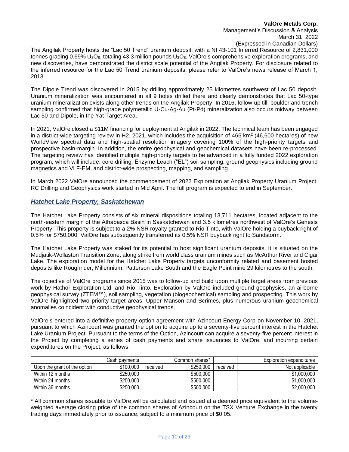### **ValOre Metals Corp.** Management's Discussion & Analysis March 31, 2022 (Expressed in Canadian Dollars)

The Angilak Property hosts the "Lac 50 Trend" uranium deposit, with a NI 43-101 Inferred Resource of 2,831,000 tonnes grading  $0.69\%$  U<sub>3</sub>O<sub>8</sub>, totaling 43.3 million pounds U<sub>3</sub>O<sub>8</sub>. ValOre's comprehensive exploration programs, and new discoveries, have demonstrated the district scale potential of the Angilak Property. For disclosure related to the inferred resource for the Lac 50 Trend uranium deposits, please refer to ValOre's news release of March 1, 2013.

The Dipole Trend was discovered in 2015 by drilling approximately 25 kilometres southwest of Lac 50 deposit. Uranium mineralization was encountered in all 9 holes drilled there and clearly demonstrates that Lac 50-type uranium mineralization exists along other trends on the Angilak Property. In 2016, follow-up till, boulder and trench sampling confirmed that high-grade polymetallic U-Cu-Ag-Au (Pt-Pd) mineralization also occurs midway between Lac 50 and Dipole, in the Yat Target Area.

In 2021, ValOre closed a \$11M financing for deployment at Angilak in 2022. The technical team has been engaged in a district-wide targeting review in H2, 2021, which includes the acquisition of 466 km<sup>2</sup> (46,600 hectares) of new WorldView spectral data and high-spatial resolution imagery covering 100% of the high-priority targets and prospective basin-margin. In addition, the entire geophysical and geochemical datasets have been re-processed. The targeting review has identified multiple high-priority targets to be advanced in a fully funded 2022 exploration program, which will include: core drilling, Enzyme Leach ("EL") soil sampling, ground geophysics including ground magnetics and VLF-EM, and district-wide prospecting, mapping, and sampling.

In March 2022 ValOre announced the commencement of 2022 Exploration at Angilak Property Uranium Project. RC Drilling and Geophysics work started in Mid April. The full program is expected to end in September.

### *Hatchet Lake Property, Saskatchewan*

The Hatchet Lake Property consists of six mineral dispositions totaling 13,711 hectares, located adjacent to the north-eastern margin of the Athabasca Basin in Saskatchewan and 3.5 kilometres northwest of ValOre's Genesis Property. This property is subject to a 2% NSR royalty granted to Rio Tinto, with ValOre holding a buyback right of 0.5% for \$750,000. ValOre has subsequently transferred its 0.5% NSR buyback right to Sandstorm.

The Hatchet Lake Property was staked for its potential to host significant uranium deposits. It is situated on the Mudjatik-Wollaston Transition Zone, along strike from world class uranium mines such as McArthur River and Cigar Lake. The exploration model for the Hatchet Lake Property targets unconformity related and basement hosted deposits like Roughrider, Millennium, Patterson Lake South and the Eagle Point mine 29 kilometres to the south.

The objective of ValOre programs since 2015 was to follow-up and build upon multiple target areas from previous work by Hathor Exploration Ltd. and Rio Tinto. Exploration by ValOre included ground geophysics, an airborne geophysical survey (ZTEM™), soil sampling, vegetation (biogeochemical) sampling and prospecting. This work by ValOre highlighted two priority target areas, Upper Manson and Scrimes, plus numerous uranium geochemical anomalies coincident with conductive geophysical trends.

ValOre's entered into a definitive property option agreement with Azincourt Energy Corp on November 10, 2021, pursuant to which Azincourt was granted the option to acquire up to a seventy-five percent interest in the Hatchet Lake Uranium Project. Pursuant to the terms of the Option, Azincourt can acquire a seventy-five percent interest in the Project by completing a series of cash payments and share issuances to ValOre, and incurring certain expenditures on the Project, as follows:

|                              | Cash payments |          | Common shares* |          | Exploration expenditures |
|------------------------------|---------------|----------|----------------|----------|--------------------------|
| Upon the grant of the option | \$100.000     | received | \$250,000      | received | Not applicable           |
| Within 12 months             | \$250,000     |          | \$500,000      |          | \$1,000,000              |
| Within 24 months             | \$250,000     |          | \$500,000      |          | \$1,000,000              |
| Within 36 months             | \$250,000     |          | \$500,000      |          | \$2,000,000              |

\* All common shares issuable to ValOre will be calculated and issued at a deemed price equivalent to the volumeweighted average closing price of the common shares of Azincourt on the TSX Venture Exchange in the twenty trading days immediately prior to issuance, subject to a minimum price of \$0.05.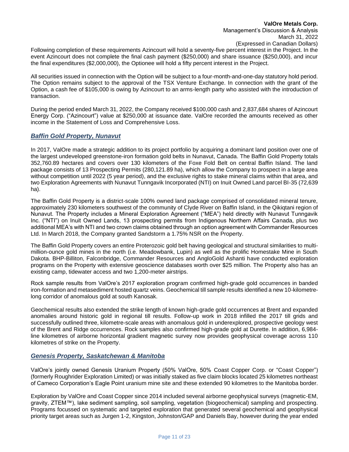Following completion of these requirements Azincourt will hold a seventy-five percent interest in the Project. In the event Azincourt does not complete the final cash payment (\$250,000) and share issuance (\$250,000), and incur the final expenditures (\$2,000,000), the Optionee will hold a fifty percent interest in the Project.

All securities issued in connection with the Option will be subject to a four-month-and-one-day statutory hold period. The Option remains subject to the approval of the TSX Venture Exchange. In connection with the grant of the Option, a cash fee of \$105,000 is owing by Azincourt to an arms-length party who assisted with the introduction of transaction.

During the period ended March 31, 2022, the Company received \$100,000 cash and 2,837,684 shares of Azincourt Energy Corp. ("Azincourt") value at \$250,000 at issuance date. ValOre recorded the amounts received as other income in the Statement of Loss and Comprehensive Loss.

# *Baffin Gold Property, Nunavut*

In 2017, ValOre made a strategic addition to its project portfolio by acquiring a dominant land position over one of the largest undeveloped greenstone-iron formation gold belts in Nunavut, Canada. The Baffin Gold Property totals 352,760.89 hectares and covers over 130 kilometers of the Foxe Fold Belt on central Baffin Island. The land package consists of 13 Prospecting Permits (280,121.89 ha), which allow the Company to prospect in a large area without competition until 2022 (5 year period), and the exclusive rights to stake mineral claims within that area, and two Exploration Agreements with Nunavut Tunngavik Incorporated (NTI) on Inuit Owned Land parcel BI-35 (72,639 ha).

The Baffin Gold Property is a district-scale 100% owned land package comprised of consolidated mineral tenure, approximately 230 kilometers southwest of the community of Clyde River on Baffin Island, in the Qikiqtani region of Nunavut. The Property includes a Mineral Exploration Agreement ("MEA") held directly with Nunavut Tunngavik Inc. ("NTI") on Inuit Owned Lands, 13 prospecting permits from Indigenous Northern Affairs Canada, plus two additional MEA's with NTI and two crown claims obtained through an option agreement with Commander Resources Ltd. In March 2018, the Company granted Sandstorm a 1.75% NSR on the Property.

The Baffin Gold Property covers an entire Proterozoic gold belt having geological and structural similarities to multimillion-ounce gold mines in the north (i.e. Meadowbank, Lupin) as well as the prolific Homestake Mine in South Dakota. BHP-Billiton, Falconbridge, Commander Resources and AngloGold Ashanti have conducted exploration programs on the Property with extensive geoscience databases worth over \$25 million. The Property also has an existing camp, tidewater access and two 1,200-meter airstrips.

Rock sample results from ValOre's 2017 exploration program confirmed high-grade gold occurrences in banded iron-formation and metasediment hosted quartz veins. Geochemical till sample results identified a new 10-kilometrelong corridor of anomalous gold at south Kanosak.

Geochemical results also extended the strike length of known high-grade gold occurrences at Brent and expanded anomalies around historic gold in regional till results. Follow-up work in 2018 infilled the 2017 till grids and successfully outlined three, kilometre-scale areas with anomalous gold in underexplored, prospective geology west of the Brent and Ridge occurrences. Rock samples also confirmed high-grade gold at Durette. In addition, 6,984 line kilometres of airborne horizontal gradient magnetic survey now provides geophysical coverage across 110 kilometres of strike on the Property.

# *Genesis Property, Saskatchewan & Manitoba*

ValOre's jointly owned Genesis Uranium Property (50% ValOre, 50% Coast Copper Corp. or "Coast Copper") (formerly Roughrider Exploration Limited) or was initially staked as five claim blocks located 25 kilometres northeast of Cameco Corporation's Eagle Point uranium mine site and these extended 90 kilometres to the Manitoba border.

Exploration by ValOre and Coast Copper since 2014 included several airborne geophysical surveys (magnetic-EM, gravity, ZTEM™), lake sediment sampling, soil sampling, vegetation (biogeochemical) sampling and prospecting. Programs focussed on systematic and targeted exploration that generated several geochemical and geophysical priority target areas such as Jurgen 1-2, Kingston, Johnston/GAP and Daniels Bay, however during the year ended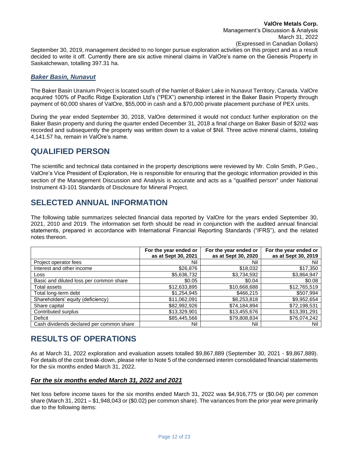September 30, 2019, management decided to no longer pursue exploration activities on this project and as a result decided to write it off. Currently there are six active mineral claims in ValOre's name on the Genesis Property in Saskatchewan, totalling 397.31 ha.

# *Baker Basin, Nunavut*

The Baker Basin Uranium Project is located south of the hamlet of Baker Lake in Nunavut Territory, Canada. ValOre acquired 100% of Pacific Ridge Exploration Ltd's ("PEX") ownership interest in the Baker Basin Property through payment of 60,000 shares of ValOre, \$55,000 in cash and a \$70,000 private placement purchase of PEX units.

During the year ended September 30, 2018, ValOre determined it would not conduct further exploration on the Baker Basin property and during the quarter ended December 31, 2018 a final charge on Baker Basin of \$202 was recorded and subsequently the property was written down to a value of \$Nil. Three active mineral claims, totaling 4,141.57 ha, remain in ValOre's name.

# **QUALIFIED PERSON**

The scientific and technical data contained in the property descriptions were reviewed by Mr. Colin Smith, P.Geo., ValOre's Vice President of Exploration, He is responsible for ensuring that the geologic information provided in this section of the Management Discussion and Analysis is accurate and acts as a "qualified person" under National Instrument 43-101 Standards of Disclosure for Mineral Project.

# **SELECTED ANNUAL INFORMATION**

The following table summarizes selected financial data reported by ValOre for the years ended September 30, 2021, 2010 and 2019. The information set forth should be read in conjunction with the audited annual financial statements, prepared in accordance with International Financial Reporting Standards ("IFRS"), and the related notes thereon.

|                                          | For the year ended or<br>as at Sept 30, 2021 | For the year ended or<br>as at Sept 30, 2020 | For the year ended or<br>as at Sept 30, 2019 |
|------------------------------------------|----------------------------------------------|----------------------------------------------|----------------------------------------------|
| Project operator fees                    | Nil                                          | Nil                                          | Nil                                          |
| Interest and other income                | \$26,876                                     | \$18,032                                     | \$17,350                                     |
| Loss                                     | \$5,636,732                                  | \$3,734,592                                  | \$3,864,947                                  |
| Basic and diluted loss per common share  | \$0.05                                       | \$0.04                                       | \$0.08                                       |
| Total assets                             | \$12,633,895                                 | \$10,668,688                                 | \$12,765,519                                 |
| Total long-term debt                     | \$1,254,945                                  | \$466,215                                    | \$507,994                                    |
| Shareholders' equity (deficiency)        | \$11,062,091                                 | \$8,253,818                                  | \$9,952,654                                  |
| Share capital                            | \$82,992,926                                 | \$74,184,894                                 | \$72,198,531                                 |
| Contributed surplus                      | \$13,329,901                                 | \$13,455,676                                 | \$13,391,291                                 |
| Deficit                                  | \$85,445,566                                 | \$79,808,834                                 | \$76,074,242                                 |
| Cash dividends declared per common share | Nil                                          | Nil                                          | Nil                                          |

# **RESULTS OF OPERATIONS**

As at March 31, 2022 exploration and evaluation assets totalled \$9,867,889 (September 30, 2021 - \$9,867,889). For details of the cost break-down, please refer to Note 5 of the condensed interim consolidated financial statements for the six months ended March 31, 2022.

# *For the six months ended March 31, 2022 and 2021*

Net loss before income taxes for the six months ended March 31, 2022 was \$4,916,775 or (\$0.04) per common share (March 31, 2021 – \$1,948,043 or (\$0.02) per common share). The variances from the prior year were primarily due to the following items: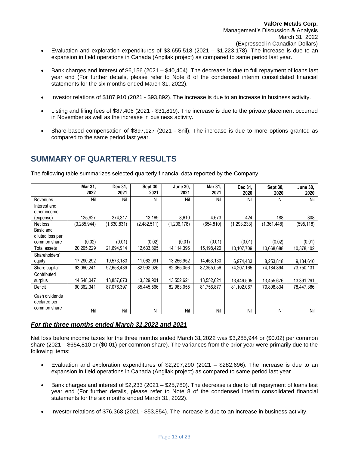- Evaluation and exploration expenditures of  $$3,655,518$  (2021  $$1,223,178$ ). The increase is due to an expansion in field operations in Canada (Angilak project) as compared to same period last year.
- Bank charges and interest of \$6,156 (2021 \$40,404). The decrease is due to full repayment of loans last year end (For further details, please refer to Note 8 of the condensed interim consolidated financial statements for the six months ended March 31, 2022).
- Investor relations of \$187,910 (2021 \$93,892). The increase is due to an increase in business activity.
- Listing and filing fees of \$87,406 (2021 \$31,819). The increase is due to the private placement occurred in November as well as the increase in business activity.
- Share-based compensation of \$897,127 (2021 \$nil). The increase is due to more options granted as compared to the same period last year.

# **SUMMARY OF QUARTERLY RESULTS**

The following table summarizes selected quarterly financial data reported by the Company.

|                                                | Mar 31,<br>2022 | Dec 31,<br>2021 | Sept 30,<br>2021 | <b>June 30,</b><br>2021 | Mar 31,<br>2021 | Dec 31,<br>2020 | Sept 30,<br>2020 | <b>June 30,</b><br>2020 |
|------------------------------------------------|-----------------|-----------------|------------------|-------------------------|-----------------|-----------------|------------------|-------------------------|
| Revenues                                       | Nil             | Nil             | Nil              | Nil                     | Nil             | Nil             | Nil              | Nil                     |
| Interest and                                   |                 |                 |                  |                         |                 |                 |                  |                         |
| other income                                   |                 |                 |                  |                         |                 |                 |                  |                         |
| (expense)                                      | 125,927         | 374,317         | 13,169           | 8,610                   | 4,673           | 424             | 188              | 308                     |
| Net loss                                       | (3,285,944)     | 1,630,831       | (2,482,511)      | (1,206,178)             | (654, 810)      | (1,293,233)     | (1.361.448)      | (595,118)               |
| Basic and                                      |                 |                 |                  |                         |                 |                 |                  |                         |
| diluted loss per                               |                 |                 |                  |                         |                 |                 |                  |                         |
| common share                                   | (0.02)          | (0.01)          | (0.02)           | (0.01)                  | (0.01)          | (0.01)          | (0.02)           | (0.01)                  |
| Total assets                                   | 20,205,229      | 21,694,914      | 12,633,895       | 14,114,396              | 15,198,420      | 10,107,709      | 10,668,688       | 10,378,102              |
| Shareholders'                                  |                 |                 |                  |                         |                 |                 |                  |                         |
| equity                                         | 17,290,292      | 19,573,183      | 11,062,091       | 13,256,952              | 14,463,130      | 6,974,433       | 8,253,818        | 9,134,610               |
| Share capital                                  | 93,060,241      | 92,658,439      | 82.992.926       | 82.365.056              | 82,365,056      | 74,207,165      | 74,184,894       | 73,750,131              |
| Contributed                                    |                 |                 |                  |                         |                 |                 |                  |                         |
| surplus                                        | 14,548,047      | 13,857,673      | 13,329,901       | 13,552,621              | 13,552,621      | 13,449,505      | 13,455,676       | 13,391,291              |
| Deficit                                        | 90,362,341      | 87,076,397      | 85,445,566       | 82,963,055              | 81,756,877      | 81,102,067      | 79,808,834       | 78,447,386              |
| Cash dividends<br>declared per<br>common share |                 |                 |                  |                         |                 |                 |                  |                         |
|                                                | Nil             | Nil             | Nil              | Nil                     | Nil             | Nil             | Nil              | Nil                     |

# *For the three months ended March 31,2022 and 2021*

Net loss before income taxes for the three months ended March 31,2022 was \$3,285,944 or (\$0.02) per common share (2021 – \$654,810 or (\$0.01) per common share). The variances from the prior year were primarily due to the following items:

- Evaluation and exploration expenditures of  $$2,297,290$  (2021 \$282,696). The increase is due to an expansion in field operations in Canada (Angilak project) as compared to same period last year.
- Bank charges and interest of \$2,233 (2021 \$25,780). The decrease is due to full repayment of loans last year end (For further details, please refer to Note 8 of the condensed interim consolidated financial statements for the six months ended March 31, 2022).
- Investor relations of \$76,368 (2021 \$53,854). The increase is due to an increase in business activity.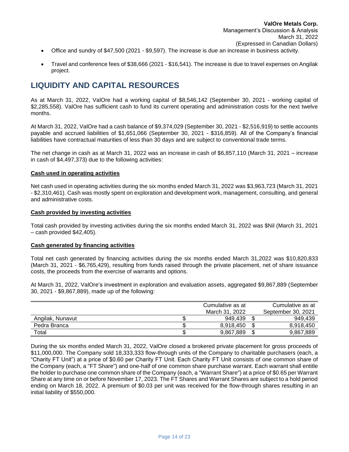- Office and sundry of \$47,500 (2021 \$9,597). The increase is due an increase in business activity.
- Travel and conference fees of \$38,666 (2021 \$16,541). The increase is due to travel expenses on Angilak project.

# **LIQUIDITY AND CAPITAL RESOURCES**

As at March 31, 2022, ValOre had a working capital of \$8,546,142 (September 30, 2021 - working capital of \$2,285,558). ValOre has sufficient cash to fund its current operating and administration costs for the next twelve months.

At March 31, 2022, ValOre had a cash balance of \$9,374,029 (September 30, 2021 - \$2,516,919) to settle accounts payable and accrued liabilities of \$1,651,066 (September 30, 2021 - \$316,859). All of the Company's financial liabilities have contractual maturities of less than 30 days and are subject to conventional trade terms.

The net change in cash as at March 31, 2022 was an increase in cash of \$6,857,110 (March 31, 2021 – increase in cash of \$4,497,373) due to the following activities:

#### **Cash used in operating activities**

Net cash used in operating activities during the six months ended March 31, 2022 was \$3,963,723 (March 31, 2021 - \$2,310,461). Cash was mostly spent on exploration and development work, management, consulting, and general and administrative costs.

#### **Cash provided by investing activities**

Total cash provided by investing activities during the six months ended March 31, 2022 was \$Nil (March 31, 2021 – cash provided \$42,405).

#### **Cash generated by financing activities**

Total net cash generated by financing activities during the six months ended March 31,2022 was \$10,820,833 (March 31, 2021 - \$6,765,429), resulting from funds raised through the private placement, net of share issuance costs, the proceeds from the exercise of warrants and options.

At March 31, 2022, ValOre's investment in exploration and evaluation assets, aggregated \$9,867,889 (September 30, 2021 - \$9,867,889), made up of the following:

|                  | Cumulative as at | Cumulative as at   |
|------------------|------------------|--------------------|
|                  | March 31, 2022   | September 30, 2021 |
| Angilak, Nunavut | 949.439          | 949.439            |
| Pedra Branca     | 8.918.450        | 8.918.450          |
| Total            | 9,867,889        | 9,867,889          |

During the six months ended March 31, 2022, ValOre closed a brokered private placement for gross proceeds of \$11,000,000. The Company sold 18,333,333 flow-through units of the Company to charitable purchasers (each, a "Charity FT Unit") at a price of \$0.60 per Charity FT Unit. Each Charity FT Unit consists of one common share of the Company (each, a "FT Share") and one-half of one common share purchase warrant. Each warrant shall entitle the holder to purchase one common share of the Company (each, a "Warrant Share") at a price of \$0.65 per Warrant Share at any time on or before November 17, 2023. The FT Shares and Warrant Shares are subject to a hold period ending on March 18, 2022. A premium of \$0.03 per unit was received for the flow-through shares resulting in an initial liability of \$550,000.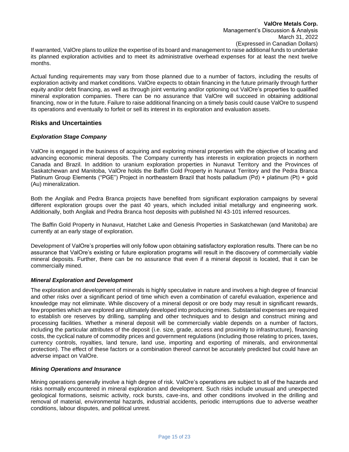If warranted, ValOre plans to utilize the expertise of its board and management to raise additional funds to undertake its planned exploration activities and to meet its administrative overhead expenses for at least the next twelve months.

Actual funding requirements may vary from those planned due to a number of factors, including the results of exploration activity and market conditions. ValOre expects to obtain financing in the future primarily through further equity and/or debt financing, as well as through joint venturing and/or optioning out ValOre's properties to qualified mineral exploration companies. There can be no assurance that ValOre will succeed in obtaining additional financing, now or in the future. Failure to raise additional financing on a timely basis could cause ValOre to suspend its operations and eventually to forfeit or sell its interest in its exploration and evaluation assets.

### **Risks and Uncertainties**

#### *Exploration Stage Company*

ValOre is engaged in the business of acquiring and exploring mineral properties with the objective of locating and advancing economic mineral deposits. The Company currently has interests in exploration projects in northern Canada and Brazil. In addition to uranium exploration properties in Nunavut Territory and the Provinces of Saskatchewan and Manitoba, ValOre holds the Baffin Gold Property in Nunavut Territory and the Pedra Branca Platinum Group Elements ("PGE") Project in northeastern Brazil that hosts palladium (Pd) + platinum (Pt) + gold (Au) mineralization.

Both the Angilak and Pedra Branca projects have benefited from significant exploration campaigns by several different exploration groups over the past 40 years, which included initial metallurgy and engineering work. Additionally, both Angilak and Pedra Branca host deposits with published NI 43-101 inferred resources.

The Baffin Gold Property in Nunavut, Hatchet Lake and Genesis Properties in Saskatchewan (and Manitoba) are currently at an early stage of exploration.

Development of ValOre's properties will only follow upon obtaining satisfactory exploration results. There can be no assurance that ValOre's existing or future exploration programs will result in the discovery of commercially viable mineral deposits. Further, there can be no assurance that even if a mineral deposit is located, that it can be commercially mined.

#### *Mineral Exploration and Development*

The exploration and development of minerals is highly speculative in nature and involves a high degree of financial and other risks over a significant period of time which even a combination of careful evaluation, experience and knowledge may not eliminate. While discovery of a mineral deposit or ore body may result in significant rewards, few properties which are explored are ultimately developed into producing mines. Substantial expenses are required to establish ore reserves by drilling, sampling and other techniques and to design and construct mining and processing facilities. Whether a mineral deposit will be commercially viable depends on a number of factors, including the particular attributes of the deposit (i.e. size, grade, access and proximity to infrastructure), financing costs, the cyclical nature of commodity prices and government regulations (including those relating to prices, taxes, currency controls, royalties, land tenure, land use, importing and exporting of minerals, and environmental protection). The effect of these factors or a combination thereof cannot be accurately predicted but could have an adverse impact on ValOre.

#### *Mining Operations and Insurance*

Mining operations generally involve a high degree of risk. ValOre's operations are subject to all of the hazards and risks normally encountered in mineral exploration and development. Such risks include unusual and unexpected geological formations, seismic activity, rock bursts, cave-ins, and other conditions involved in the drilling and removal of material, environmental hazards, industrial accidents, periodic interruptions due to adverse weather conditions, labour disputes, and political unrest.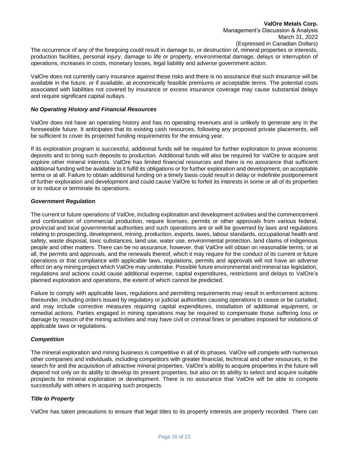The occurrence of any of the foregoing could result in damage to, or destruction of, mineral properties or interests, production facilities, personal injury, damage to life or property, environmental damage, delays or interruption of operations, increases in costs, monetary losses, legal liability and adverse government action.

ValOre does not currently carry insurance against these risks and there is no assurance that such insurance will be available in the future, or if available, at economically feasible premiums or acceptable terms. The potential costs associated with liabilities not covered by insurance or excess insurance coverage may cause substantial delays and require significant capital outlays.

#### *No Operating History and Financial Resources*

ValOre does not have an operating history and has no operating revenues and is unlikely to generate any in the foreseeable future. It anticipates that its existing cash resources, following any proposed private placements, will be sufficient to cover its projected funding requirements for the ensuing year.

If its exploration program is successful, additional funds will be required for further exploration to prove economic deposits and to bring such deposits to production. Additional funds will also be required for ValOre to acquire and explore other mineral interests. ValOre has limited financial resources and there is no assurance that sufficient additional funding will be available to it fulfill its obligations or for further exploration and development, on acceptable terms or at all. Failure to obtain additional funding on a timely basis could result in delay or indefinite postponement of further exploration and development and could cause ValOre to forfeit its interests in some or all of its properties or to reduce or terminate its operations.

#### *Government Regulation*

The current or future operations of ValOre, including exploration and development activities and the commencement and continuation of commercial production, require licenses, permits or other approvals from various federal, provincial and local governmental authorities and such operations are or will be governed by laws and regulations relating to prospecting, development, mining, production, exports, taxes, labour standards, occupational health and safety, waste disposal, toxic substances, land use, water use, environmental protection, land claims of indigenous people and other matters. There can be no assurance, however, that ValOre will obtain on reasonable terms, or at all, the permits and approvals, and the renewals thereof, which it may require for the conduct of its current or future operations or that compliance with applicable laws, regulations, permits and approvals will not have an adverse effect on any mining project which ValOre may undertake. Possible future environmental and mineral tax legislation, regulations and actions could cause additional expense, capital expenditures, restrictions and delays to ValOre's planned exploration and operations, the extent of which cannot be predicted.

Failure to comply with applicable laws, regulations and permitting requirements may result in enforcement actions thereunder, including orders issued by regulatory or judicial authorities causing operations to cease or be curtailed, and may include corrective measures requiring capital expenditures, installation of additional equipment, or remedial actions. Parties engaged in mining operations may be required to compensate those suffering loss or damage by reason of the mining activities and may have civil or criminal fines or penalties imposed for violations of applicable laws or regulations.

#### *Competition*

The mineral exploration and mining business is competitive in all of its phases. ValOre will compete with numerous other companies and individuals, including competitors with greater financial, technical and other resources, in the search for and the acquisition of attractive mineral properties. ValOre's ability to acquire properties in the future will depend not only on its ability to develop its present properties, but also on its ability to select and acquire suitable prospects for mineral exploration or development. There is no assurance that ValOre will be able to compete successfully with others in acquiring such prospects.

#### *Title to Property*

ValOre has taken precautions to ensure that legal titles to its property interests are properly recorded. There can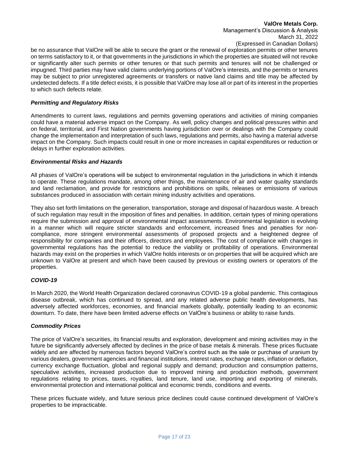# **ValOre Metals Corp.**

Management's Discussion & Analysis March 31, 2022 (Expressed in Canadian Dollars)

be no assurance that ValOre will be able to secure the grant or the renewal of exploration permits or other tenures on terms satisfactory to it, or that governments in the jurisdictions in which the properties are situated will not revoke or significantly alter such permits or other tenures or that such permits and tenures will not be challenged or impugned. Third parties may have valid claims underlying portions of ValOre's interests, and the permits or tenures may be subject to prior unregistered agreements or transfers or native land claims and title may be affected by undetected defects. If a title defect exists, it is possible that ValOre may lose all or part of its interest in the properties to which such defects relate.

#### *Permitting and Regulatory Risks*

Amendments to current laws, regulations and permits governing operations and activities of mining companies could have a material adverse impact on the Company. As well, policy changes and political pressures within and on federal, territorial, and First Nation governments having jurisdiction over or dealings with the Company could change the implementation and interpretation of such laws, regulations and permits, also having a material adverse impact on the Company. Such impacts could result in one or more increases in capital expenditures or reduction or delays in further exploration activities.

#### *Environmental Risks and Hazards*

All phases of ValOre's operations will be subject to environmental regulation in the jurisdictions in which it intends to operate. These regulations mandate, among other things, the maintenance of air and water quality standards and land reclamation, and provide for restrictions and prohibitions on spills, releases or emissions of various substances produced in association with certain mining industry activities and operations.

They also set forth limitations on the generation, transportation, storage and disposal of hazardous waste. A breach of such regulation may result in the imposition of fines and penalties. In addition, certain types of mining operations require the submission and approval of environmental impact assessments. Environmental legislation is evolving in a manner which will require stricter standards and enforcement, increased fines and penalties for noncompliance, more stringent environmental assessments of proposed projects and a heightened degree of responsibility for companies and their officers, directors and employees. The cost of compliance with changes in governmental regulations has the potential to reduce the viability or profitability of operations. Environmental hazards may exist on the properties in which ValOre holds interests or on properties that will be acquired which are unknown to ValOre at present and which have been caused by previous or existing owners or operators of the properties.

#### *COVID-19*

In March 2020, the World Health Organization declared coronavirus COVID-19 a global pandemic. This contagious disease outbreak, which has continued to spread, and any related adverse public health developments, has adversely affected workforces, economies, and financial markets globally, potentially leading to an economic downturn. To date, there have been limited adverse effects on ValOre's business or ability to raise funds.

#### *Commodity Prices*

The price of ValOre's securities, its financial results and exploration, development and mining activities may in the future be significantly adversely affected by declines in the price of base metals & minerals. These prices fluctuate widely and are affected by numerous factors beyond ValOre's control such as the sale or purchase of uranium by various dealers, government agencies and financial institutions, interest rates, exchange rates, inflation or deflation, currency exchange fluctuation, global and regional supply and demand; production and consumption patterns, speculative activities, increased production due to improved mining and production methods, government regulations relating to prices, taxes, royalties, land tenure, land use, importing and exporting of minerals, environmental protection and international political and economic trends, conditions and events.

These prices fluctuate widely, and future serious price declines could cause continued development of ValOre's properties to be impracticable.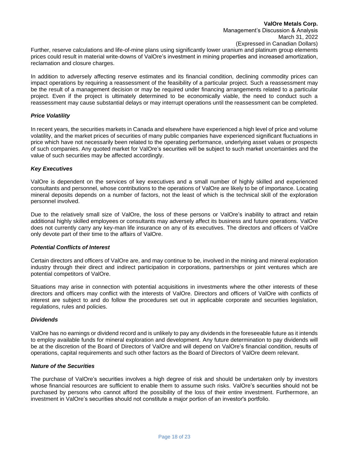Further, reserve calculations and life-of-mine plans using significantly lower uranium and platinum group elements prices could result in material write-downs of ValOre's investment in mining properties and increased amortization, reclamation and closure charges.

In addition to adversely affecting reserve estimates and its financial condition, declining commodity prices can impact operations by requiring a reassessment of the feasibility of a particular project. Such a reassessment may be the result of a management decision or may be required under financing arrangements related to a particular project. Even if the project is ultimately determined to be economically viable, the need to conduct such a reassessment may cause substantial delays or may interrupt operations until the reassessment can be completed.

#### *Price Volatility*

In recent years, the securities markets in Canada and elsewhere have experienced a high level of price and volume volatility, and the market prices of securities of many public companies have experienced significant fluctuations in price which have not necessarily been related to the operating performance, underlying asset values or prospects of such companies. Any quoted market for ValOre's securities will be subject to such market uncertainties and the value of such securities may be affected accordingly.

### *Key Executives*

ValOre is dependent on the services of key executives and a small number of highly skilled and experienced consultants and personnel, whose contributions to the operations of ValOre are likely to be of importance. Locating mineral deposits depends on a number of factors, not the least of which is the technical skill of the exploration personnel involved.

Due to the relatively small size of ValOre, the loss of these persons or ValOre's inability to attract and retain additional highly skilled employees or consultants may adversely affect its business and future operations. ValOre does not currently carry any key-man life insurance on any of its executives. The directors and officers of ValOre only devote part of their time to the affairs of ValOre.

#### *Potential Conflicts of Interest*

Certain directors and officers of ValOre are, and may continue to be, involved in the mining and mineral exploration industry through their direct and indirect participation in corporations, partnerships or joint ventures which are potential competitors of ValOre.

Situations may arise in connection with potential acquisitions in investments where the other interests of these directors and officers may conflict with the interests of ValOre. Directors and officers of ValOre with conflicts of interest are subject to and do follow the procedures set out in applicable corporate and securities legislation, regulations, rules and policies.

#### *Dividends*

ValOre has no earnings or dividend record and is unlikely to pay any dividends in the foreseeable future as it intends to employ available funds for mineral exploration and development. Any future determination to pay dividends will be at the discretion of the Board of Directors of ValOre and will depend on ValOre's financial condition, results of operations, capital requirements and such other factors as the Board of Directors of ValOre deem relevant.

#### *Nature of the Securities*

The purchase of ValOre's securities involves a high degree of risk and should be undertaken only by investors whose financial resources are sufficient to enable them to assume such risks. ValOre's securities should not be purchased by persons who cannot afford the possibility of the loss of their entire investment. Furthermore, an investment in ValOre's securities should not constitute a major portion of an investor's portfolio.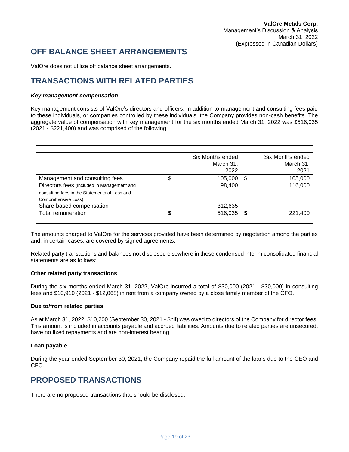# **OFF BALANCE SHEET ARRANGEMENTS**

ValOre does not utilize off balance sheet arrangements.

# **TRANSACTIONS WITH RELATED PARTIES**

### *Key management compensation*

Key management consists of ValOre's directors and officers. In addition to management and consulting fees paid to these individuals, or companies controlled by these individuals, the Company provides non-cash benefits. The aggregate value of compensation with key management for the six months ended March 31, 2022 was \$516,035 (2021 - \$221,400) and was comprised of the following:

|                                               | Six Months ended<br>March 31,<br>2022 |   | Six Months ended<br>March 31,<br>2021 |
|-----------------------------------------------|---------------------------------------|---|---------------------------------------|
| Management and consulting fees                | \$<br>105,000                         | S | 105,000                               |
| Directors fees (included in Management and    | 98,400                                |   | 116,000                               |
| consulting fees in the Statements of Loss and |                                       |   |                                       |
| Comprehensive Loss)                           |                                       |   |                                       |
| Share-based compensation                      | 312,635                               |   |                                       |
| Total remuneration                            | 516,035                               |   | 221,400                               |

The amounts charged to ValOre for the services provided have been determined by negotiation among the parties and, in certain cases, are covered by signed agreements.

Related party transactions and balances not disclosed elsewhere in these condensed interim consolidated financial statements are as follows:

#### **Other related party transactions**

During the six months ended March 31, 2022, ValOre incurred a total of \$30,000 (2021 - \$30,000) in consulting fees and \$10,910 (2021 - \$12,068) in rent from a company owned by a close family member of the CFO.

#### **Due to/from related parties**

As at March 31, 2022, \$10,200 (September 30, 2021 - \$nil) was owed to directors of the Company for director fees. This amount is included in accounts payable and accrued liabilities. Amounts due to related parties are unsecured, have no fixed repayments and are non-interest bearing.

#### **Loan payable**

During the year ended September 30, 2021, the Company repaid the full amount of the loans due to the CEO and CFO.

# **PROPOSED TRANSACTIONS**

There are no proposed transactions that should be disclosed.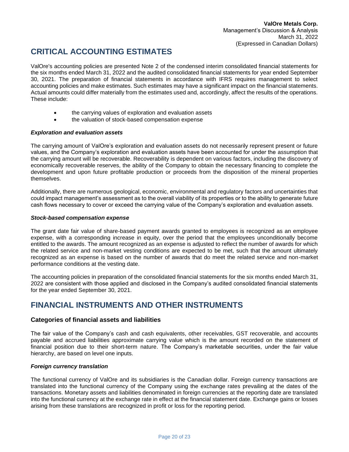# **CRITICAL ACCOUNTING ESTIMATES**

ValOre's accounting policies are presented Note 2 of the condensed interim consolidated financial statements for the six months ended March 31, 2022 and the audited consolidated financial statements for year ended September 30, 2021. The preparation of financial statements in accordance with IFRS requires management to select accounting policies and make estimates. Such estimates may have a significant impact on the financial statements. Actual amounts could differ materially from the estimates used and, accordingly, affect the results of the operations. These include:

- the carrying values of exploration and evaluation assets
- the valuation of stock-based compensation expense

### *Exploration and evaluation assets*

The carrying amount of ValOre's exploration and evaluation assets do not necessarily represent present or future values, and the Company's exploration and evaluation assets have been accounted for under the assumption that the carrying amount will be recoverable. Recoverability is dependent on various factors, including the discovery of economically recoverable reserves, the ability of the Company to obtain the necessary financing to complete the development and upon future profitable production or proceeds from the disposition of the mineral properties themselves.

Additionally, there are numerous geological, economic, environmental and regulatory factors and uncertainties that could impact management's assessment as to the overall viability of its properties or to the ability to generate future cash flows necessary to cover or exceed the carrying value of the Company's exploration and evaluation assets.

#### *Stock-based compensation expense*

The grant date fair value of share-based payment awards granted to employees is recognized as an employee expense, with a corresponding increase in equity, over the period that the employees unconditionally become entitled to the awards. The amount recognized as an expense is adjusted to reflect the number of awards for which the related service and non-market vesting conditions are expected to be met, such that the amount ultimately recognized as an expense is based on the number of awards that do meet the related service and non-market performance conditions at the vesting date.

The accounting policies in preparation of the consolidated financial statements for the six months ended March 31, 2022 are consistent with those applied and disclosed in the Company's audited consolidated financial statements for the year ended September 30, 2021.

# **FINANCIAL INSTRUMENTS AND OTHER INSTRUMENTS**

# **Categories of financial assets and liabilities**

The fair value of the Company's cash and cash equivalents, other receivables, GST recoverable, and accounts payable and accrued liabilities approximate carrying value which is the amount recorded on the statement of financial position due to their short-term nature. The Company's marketable securities, under the fair value hierarchy, are based on level one inputs.

#### *Foreign currency translation*

The functional currency of ValOre and its subsidiaries is the Canadian dollar. Foreign currency transactions are translated into the functional currency of the Company using the exchange rates prevailing at the dates of the transactions. Monetary assets and liabilities denominated in foreign currencies at the reporting date are translated into the functional currency at the exchange rate in effect at the financial statement date. Exchange gains or losses arising from these translations are recognized in profit or loss for the reporting period.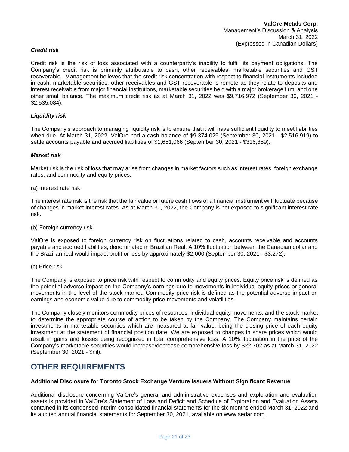### *Credit risk*

Credit risk is the risk of loss associated with a counterparty's inability to fulfill its payment obligations. The Company's credit risk is primarily attributable to cash, other receivables, marketable securities and GST recoverable. Management believes that the credit risk concentration with respect to financial instruments included in cash, marketable securities, other receivables and GST recoverable is remote as they relate to deposits and interest receivable from major financial institutions, marketable securities held with a major brokerage firm, and one other small balance. The maximum credit risk as at March 31, 2022 was \$9,716,972 (September 30, 2021 - \$2,535,084).

### *Liquidity risk*

The Company's approach to managing liquidity risk is to ensure that it will have sufficient liquidity to meet liabilities when due. At March 31, 2022, ValOre had a cash balance of \$9,374,029 (September 30, 2021 - \$2,516,919) to settle accounts payable and accrued liabilities of \$1,651,066 (September 30, 2021 - \$316,859).

#### *Market risk*

Market risk is the risk of loss that may arise from changes in market factors such as interest rates, foreign exchange rates, and commodity and equity prices.

(a) Interest rate risk

The interest rate risk is the risk that the fair value or future cash flows of a financial instrument will fluctuate because of changes in market interest rates. As at March 31, 2022, the Company is not exposed to significant interest rate risk.

(b) Foreign currency risk

ValOre is exposed to foreign currency risk on fluctuations related to cash, accounts receivable and accounts payable and accrued liabilities, denominated in Brazilian Real. A 10% fluctuation between the Canadian dollar and the Brazilian real would impact profit or loss by approximately \$2,000 (September 30, 2021 - \$3,272).

(c) Price risk

The Company is exposed to price risk with respect to commodity and equity prices. Equity price risk is defined as the potential adverse impact on the Company's earnings due to movements in individual equity prices or general movements in the level of the stock market. Commodity price risk is defined as the potential adverse impact on earnings and economic value due to commodity price movements and volatilities.

The Company closely monitors commodity prices of resources, individual equity movements, and the stock market to determine the appropriate course of action to be taken by the Company. The Company maintains certain investments in marketable securities which are measured at fair value, being the closing price of each equity investment at the statement of financial position date. We are exposed to changes in share prices which would result in gains and losses being recognized in total comprehensive loss. A 10% fluctuation in the price of the Company's marketable securities would increase/decrease comprehensive loss by \$22,702 as at March 31, 2022 (September 30, 2021 - \$nil).

# **OTHER REQUIREMENTS**

#### **Additional Disclosure for Toronto Stock Exchange Venture Issuers Without Significant Revenue**

Additional disclosure concerning ValOre's general and administrative expenses and exploration and evaluation assets is provided in ValOre's Statement of Loss and Deficit and Schedule of Exploration and Evaluation Assets contained in its condensed interim consolidated financial statements for the six months ended March 31, 2022 and its audited annual financial statements for September 30, 2021, available on [www.sedar.com](http://www.sedar.com/) .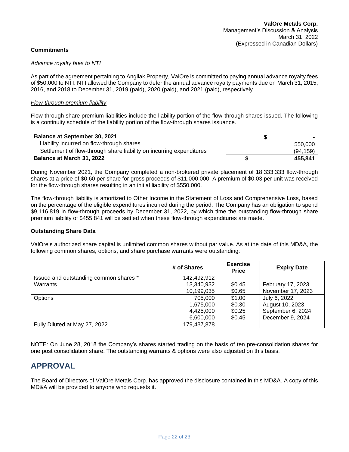# **Commitments**

#### *Advance royalty fees to NTI*

As part of the agreement pertaining to Angilak Property, ValOre is committed to paying annual advance royalty fees of \$50,000 to NTI. NTI allowed the Company to defer the annual advance royalty payments due on March 31, 2015, 2016, and 2018 to December 31, 2019 (paid), 2020 (paid), and 2021 (paid), respectively.

#### *Flow-through premium liability*

Flow-through share premium liabilities include the liability portion of the flow-through shares issued. The following is a continuity schedule of the liability portion of the flow-through shares issuance.

| <b>Balance at September 30, 2021</b>                                 |          |
|----------------------------------------------------------------------|----------|
| Liability incurred on flow-through shares                            | 550,000  |
| Settlement of flow-through share liability on incurring expenditures | (94.159) |
| Balance at March 31, 2022                                            | 455.841  |

During November 2021, the Company completed a non‐brokered private placement of 18,333,333 flow-through shares at a price of \$0.60 per share for gross proceeds of \$11,000,000. A premium of \$0.03 per unit was received for the flow-through shares resulting in an initial liability of \$550,000.

The flow-through liability is amortized to Other Income in the Statement of Loss and Comprehensive Loss, based on the percentage of the eligible expenditures incurred during the period. The Company has an obligation to spend \$9,116,819 in flow-through proceeds by December 31, 2022, by which time the outstanding flow-through share premium liability of \$455,841 will be settled when these flow-through expenditures are made.

#### **Outstanding Share Data**

ValOre's authorized share capital is unlimited common shares without par value. As at the date of this MD&A, the following common shares, options, and share purchase warrants were outstanding:

|                                        | # of Shares | <b>Exercise</b><br><b>Price</b> | <b>Expiry Date</b> |
|----------------------------------------|-------------|---------------------------------|--------------------|
| Issued and outstanding common shares * | 142,492,912 |                                 |                    |
| Warrants                               | 13,340,932  | \$0.45                          | February 17, 2023  |
|                                        | 10,199,035  | \$0.65                          | November 17, 2023  |
| Options                                | 705,000     | \$1.00                          | July 6, 2022       |
|                                        | 1,675,000   | \$0.30                          | August 10, 2023    |
|                                        | 4,425,000   | \$0.25                          | September 6, 2024  |
|                                        | 6,600,000   | \$0.45                          | December 9, 2024   |
| Fully Diluted at May 27, 2022          | 179,437,878 |                                 |                    |

NOTE: On June 28, 2018 the Company's shares started trading on the basis of ten pre-consolidation shares for one post consolidation share. The outstanding warrants & options were also adjusted on this basis.

# **APPROVAL**

The Board of Directors of ValOre Metals Corp. has approved the disclosure contained in this MD&A. A copy of this MD&A will be provided to anyone who requests it.